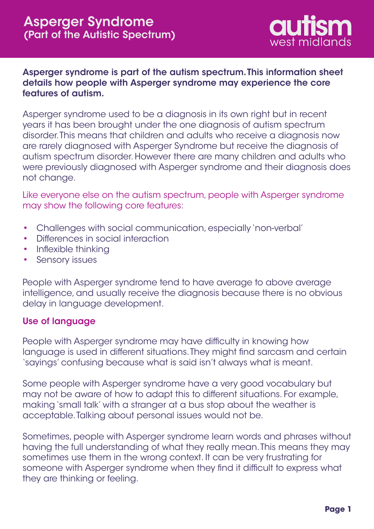

## Asperger syndrome is part of the autism spectrum. This information sheet details how people with Asperger syndrome may experience the core features of autism.

Asperger syndrome used to be a diagnosis in its own right but in recent years it has been brought under the one diagnosis of autism spectrum disorder. This means that children and adults who receive a diagnosis now are rarely diagnosed with Asperger Syndrome but receive the diagnosis of autism spectrum disorder. However there are many children and adults who were previously diagnosed with Asperger syndrome and their diagnosis does not change.

Like everyone else on the autism spectrum, people with Asperger syndrome may show the following core features:

- Challenges with social communication, especially 'non-verbal' •
- Differences in social interaction •
- Inflexible thinking
- Sensory issues •

People with Asperger syndrome tend to have average to above average intelligence, and usually receive the diagnosis because there is no obvious delay in language development.

### Use of language

People with Asperger syndrome may have difficulty in knowing how language is used in different situations. They might find sarcasm and certain 'sayings' confusing because what is said isn't always what is meant.

Some people with Asperger syndrome have a very good vocabulary but may not be aware of how to adapt this to different situations. For example, making 'small talk' with a stranger at a bus stop about the weather is acceptable. Talking about personal issues would not be.

Sometimes, people with Asperger syndrome learn words and phrases without having the full understanding of what they really mean. This means they may sometimes use them in the wrong context. It can be very frustrating for someone with Asperger syndrome when they find it difficult to express what they are thinking or feeling.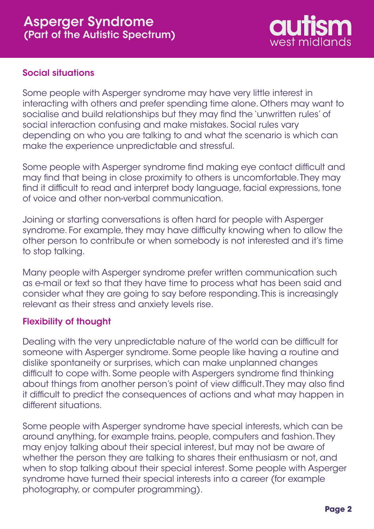

# Social situations

Some people with Asperger syndrome may have very little interest in interacting with others and prefer spending time alone. Others may want to socialise and build relationships but they may find the 'unwritten rules' of social interaction confusing and make mistakes. Social rules vary depending on who you are talking to and what the scenario is which can make the experience unpredictable and stressful.

Some people with Asperger syndrome find making eye contact difficult and may find that being in close proximity to others is uncomfortable. They may find it difficult to read and interpret body language, facial expressions, tone of voice and other non-verbal communication.

Joining or starting conversations is often hard for people with Asperger syndrome. For example, they may have difficulty knowing when to allow the other person to contribute or when somebody is not interested and it's time to stop talking.

Many people with Asperger syndrome prefer written communication such as e-mail or text so that they have time to process what has been said and consider what they are going to say before responding. This is increasingly relevant as their stress and anxiety levels rise.

# Flexibility of thought

Dealing with the very unpredictable nature of the world can be difficult for someone with Asperger syndrome. Some people like having a routine and dislike spontaneity or surprises, which can make unplanned changes difficult to cope with. Some people with Aspergers syndrome find thinking about things from another person's point of view difficult. They may also find it difficult to predict the consequences of actions and what may happen in different situations.

Some people with Asperger syndrome have special interests, which can be around anything, for example trains, people, computers and fashion. They may enjoy talking about their special interest, but may not be aware of whether the person they are talking to shares their enthusiasm or not, and when to stop talking about their special interest. Some people with Asperger syndrome have turned their special interests into a career (for example photography, or computer programming).